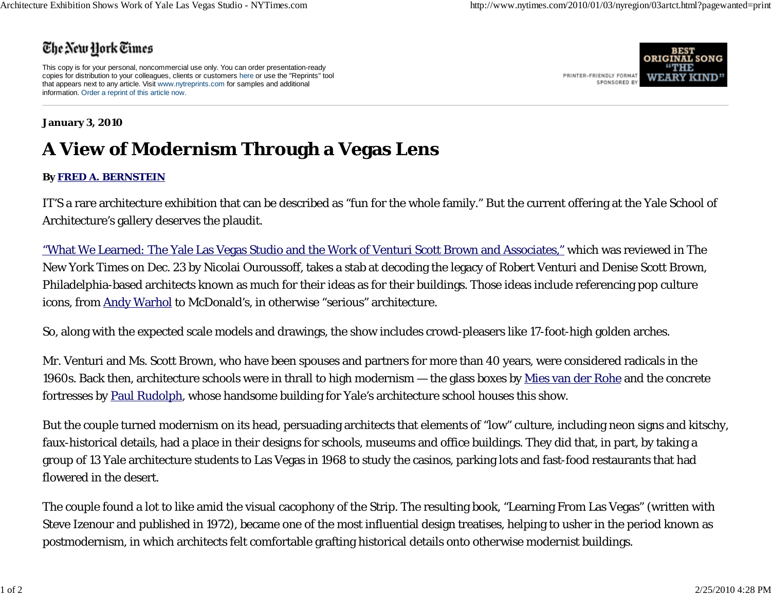## The New York Times

This copy is for your personal, noncommercial use only. You can order presentation-ready copies for distribution to your colleagues, clients or customers here or use the "Reprints" tool that appears next to any article. Visit www.nytreprints.com for samples and additional information. Order a reprint of this article now.



## **January 3, 2010**

## **A View of Modernism Through a Vegas Lens**

## **By FRED A. BERNSTEIN**

IT'S a rare architecture exhibition that can be described as "fun for the whole family." But the current offering at the Yale School of Architecture's gallery deserves the plaudit.

"What We Learned: The Yale Las Vegas Studio and the Work of Venturi Scott Brown and Associates," which was reviewed in The New York Times on Dec. 23 by Nicolai Ouroussoff, takes a stab at decoding the legacy of Robert Venturi and Denise Scott Brown, Philadelphia-based architects known as much for their ideas as for their buildings. Those ideas include referencing pop culture icons, from Andy Warhol to McDonald's, in otherwise "serious" architecture.

So, along with the expected scale models and drawings, the show includes crowd-pleasers like 17-foot-high golden arches.

Mr. Venturi and Ms. Scott Brown, who have been spouses and partners for more than 40 years, were considered radicals in the 1960s. Back then, architecture schools were in thrall to high modernism — the glass boxes by Mies van der Rohe and the concrete fortresses by Paul Rudolph, whose handsome building for Yale's architecture school houses this show.

But the couple turned modernism on its head, persuading architects that elements of "low" culture, including neon signs and kitschy, faux-historical details, had a place in their designs for schools, museums and office buildings. They did that, in part, by taking a group of 13 Yale architecture students to Las Vegas in 1968 to study the casinos, parking lots and fast-food restaurants that had flowered in the desert.

The couple found a lot to like amid the visual cacophony of the Strip. The resulting book, "Learning From Las Vegas" (written with Steve Izenour and published in 1972), became one of the most influential design treatises, helping to usher in the period known as postmodernism, in which architects felt comfortable grafting historical details onto otherwise modernist buildings.